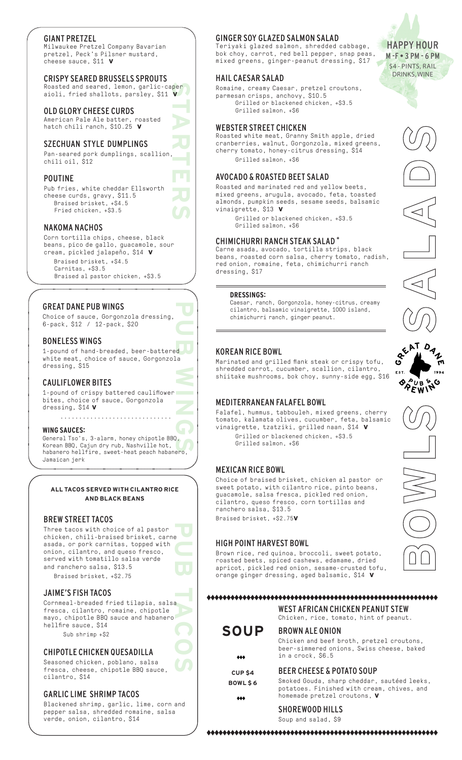## GIANT PRETZEL

Milwaukee Pretzel Company Bavarian pretzel, Peck's Pilsner mustard, cheese sauce, \$11 **v**

## CRISPY SEARED BRUSSELS SPROUTS

**STARTERS** Roasted and seared, lemon, garlic-caper aioli, fried shallots, parsley, \$11 **v**

### OLD GLORY CHEESE CURDS

American Pale Ale batter, roasted hatch chili ranch, \$10.25 **v**

### SZECHUAN STYLE DUMPLINGS

Pan-seared pork dumplings, scallion, chili oil, \$12

## POUTINE

Pub fries, white cheddar Ellsworth cheese curds, gravy, \$11.5 Braised brisket, +\$4.5 Fried chicken, +\$3.5

## NAKOMA NACHOS

Corn tortilla chips, cheese, black beans, pico de gallo, guacamole, sour cream, pickled jalapeño, \$14 **v** Braised brisket, +\$4.5

Carnitas, +\$3.5

Braised al pastor chicken, +\$3.5

## GREAT DANE PUB WINGS

Choice of sauce, Gorgonzola dressing, 6-pack, \$12 / 12-pack, \$20

## BONELESS WINGS

**PUB WINGS** 1-pound of hand-breaded, beer-battered white meat, choice of sauce, Gorgonzola dressing, \$15

## CAULIFLOWER BITES

1-pound of crispy battered cauliflower bites, choice of sauce, Gorgonzola dressing, \$14 **v**

#### **WING SAUCES:**

General Tso's, 3-alarm, honey chipotle BBQ, Korean BBQ, Cajun dry rub, Nashville hot, habanero hellfire, sweet-heat peach habanero, Jamaican jerk

..............................

## **ALL TACOS SERVED WITH CILANTRO RICE AND BLACK BEANS**

## BREW STREET TACOS

**PUB TACOS** Three tacos with choice of al pastor chicken, chili-braised brisket, carne asada, or pork carnitas, topped with onion, cilantro, and queso fresco, served with tomatillo salsa verde and ranchero salsa, \$13.5 Braised brisket, +\$2.75

## JAIME'S FISH TACOS

Cornmeal-breaded fried tilapia, salsa fresca, cilantro, romaine, chipotle mayo, chipotle BBQ sauce and habanero hellfire sauce, \$14

## Sub shrimp +\$2

## CHIPOTLE CHICKEN QUESADILLA

Seasoned chicken, poblano, salsa fresca, cheese, chipotle BBQ sauce, cilantro, \$14

## GARLIC LIME SHRIMP TACOS

Blackened shrimp, garlic, lime, corn and pepper salsa, shredded romaine, salsa verde, onion, cilantro, \$14

## GINGER SOY GLAZED SALMON SALAD

Teriyaki glazed salmon, shredded cabbage, bok choy, carrot, red bell pepper, snap peas, mixed greens, ginger-peanut dressing, \$17

## HAIL CAESAR SALAD

Romaine, creamy Caesar, pretzel croutons, parmesan crisps, anchovy, \$10.5 Grilled or blackened chicken, +\$3.5 Grilled salmon, +\$6

## WEBSTER STREET CHICKEN

Roasted white meat, Granny Smith apple, dried cranberries, walnut, Gorgonzola, mixed greens, cherry tomato, honey-citrus dressing, \$14 Grilled salmon, +\$6

## AVOCADO & ROASTED BEET SALAD

Roasted and marinated red and yellow beets, mixed greens, arugula, avocado, feta, toasted almonds, pumpkin seeds, sesame seeds, balsamic vinaigrette, \$13 **v**

Grilled or blackened chicken, +\$3.5 Grilled salmon, +\$6

## CHIMICHURRI RANCH STEAK SALAD \*

Carne asada, avocado, tortilla strips, black beans, roasted corn salsa, cherry tomato, radish, red onion, romaine, feta, chimichurri ranch dressing, \$17

#### **DRESSINGS:**

Caesar, ranch, Gorgonzola, honey-citrus, creamy cilantro, balsamic vinaigrette, 1000 island, chimichurri ranch, ginger peanut.

## KOREAN RICE BOWL

Marinated and grilled flank steak or crispy tofu, shredded carrot, cucumber, scallion, cilantro, shiitake mushrooms, bok choy, sunny-side egg, \$16

## MEDITERRANEAN FALAFEL BOWL

Falafel, hummus, tabbouleh, mixed greens, cherry tomato, kalamata olives, cucumber, feta, balsamic vinaigrette, tzatziki, grilled naan, \$14 **v** Grilled or blackened chicken, +\$3.5

Grilled salmon, +\$6

## MEXICAN RICE BOWL

Choice of braised brisket, chicken al pastor or sweet potato, with cilantro rice, pinto beans, guacamole, salsa fresca, pickled red onion, cilantro, queso fresco, corn tortillas and ranchero salsa, \$13.5 Braised brisket, +\$2.75**v**

## HIGH POINT HARVEST BOWL

Brown rice, red quinoa, broccoli, sweet potato, roasted beets, spiced cashews, edamame, dried apricot, pickled red onion, sesame-crusted tofu, orange ginger dressing, aged balsamic, \$14 **v**

#### 

WEST AFRICAN CHICKEN PEANUT STEW Chicken, rice, tomato, hint of peanut.

Chicken and beef broth, pretzel croutons, beer-simmered onions, Swiss cheese, baked

Smoked Gouda, sharp cheddar, sautéed leeks, potatoes. Finished with cream, chives, and

#### BROWN ALE ONION **SOUP**

 $+ + +$ **CUP \$4**

**BOWL \$ 6**

# homemade pretzel croutons, **v**

BEER CHEESE & POTATO SOUP

SHOREWOOD HILLS

in a crock, \$6.5

Soup and salad, \$9







HAPPY HOUR M -F • 3 PM - 6 PM \$4 - PINTS, RAIL DRINKS, WINE